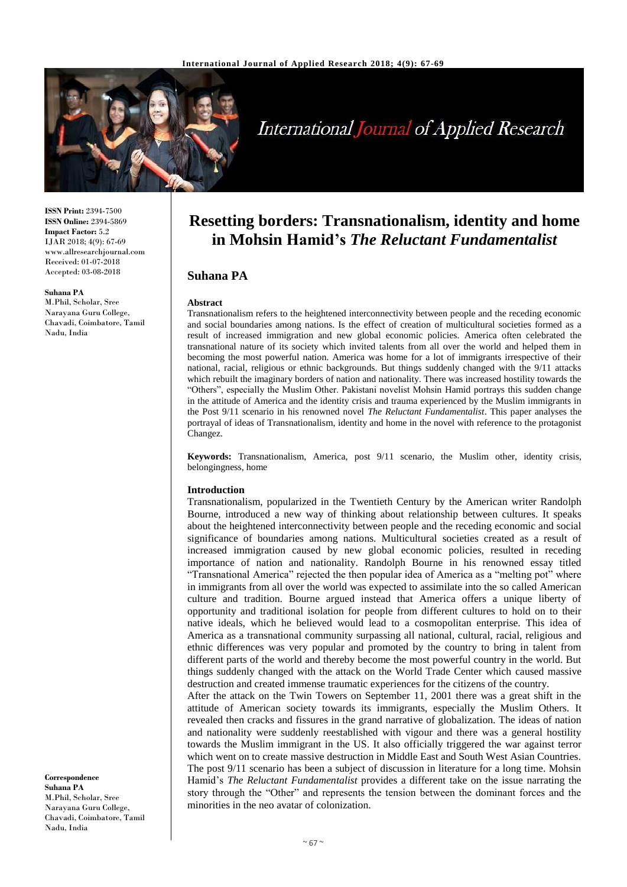

# **International Journal of Applied Research**

**ISSN Print:** 2394-7500 **ISSN Online:** 2394-5869 **Impact Factor:** 5.2 IJAR 2018; 4(9): 67-69 www.allresearchjournal.com Received: 01-07-2018 Accepted: 03-08-2018

### **Suhana PA**

M.Phil, Scholar, Sree Narayana Guru College, Chavadi, Coimbatore, Tamil Nadu, India

**Resetting borders: Transnationalism, identity and home in Mohsin Hamid's** *The Reluctant Fundamentalist*

## **Suhana PA**

#### **Abstract**

Transnationalism refers to the heightened interconnectivity between people and the receding economic and social boundaries among nations. Is the effect of creation of multicultural societies formed as a result of increased immigration and new global economic policies. America often celebrated the transnational nature of its society which invited talents from all over the world and helped them in becoming the most powerful nation. America was home for a lot of immigrants irrespective of their national, racial, religious or ethnic backgrounds. But things suddenly changed with the 9/11 attacks which rebuilt the imaginary borders of nation and nationality. There was increased hostility towards the "Others", especially the Muslim Other. Pakistani novelist Mohsin Hamid portrays this sudden change in the attitude of America and the identity crisis and trauma experienced by the Muslim immigrants in the Post 9/11 scenario in his renowned novel *The Reluctant Fundamentalist*. This paper analyses the portrayal of ideas of Transnationalism, identity and home in the novel with reference to the protagonist Changez.

**Keywords:** Transnationalism, America, post 9/11 scenario, the Muslim other, identity crisis, belongingness, home

#### **Introduction**

Transnationalism, popularized in the Twentieth Century by the American writer Randolph Bourne, introduced a new way of thinking about relationship between cultures. It speaks about the heightened interconnectivity between people and the receding economic and social significance of boundaries among nations. Multicultural societies created as a result of increased immigration caused by new global economic policies, resulted in receding importance of nation and nationality. Randolph Bourne in his renowned essay titled "Transnational America" rejected the then popular idea of America as a "melting pot" where in immigrants from all over the world was expected to assimilate into the so called American culture and tradition. Bourne argued instead that America offers a unique liberty of opportunity and traditional isolation for people from different cultures to hold on to their native ideals, which he believed would lead to a cosmopolitan enterprise. This idea of America as a transnational community surpassing all national, cultural, racial, religious and ethnic differences was very popular and promoted by the country to bring in talent from different parts of the world and thereby become the most powerful country in the world. But things suddenly changed with the attack on the World Trade Center which caused massive destruction and created immense traumatic experiences for the citizens of the country. After the attack on the Twin Towers on September 11, 2001 there was a great shift in the attitude of American society towards its immigrants, especially the Muslim Others. It revealed then cracks and fissures in the grand narrative of globalization. The ideas of nation and nationality were suddenly reestablished with vigour and there was a general hostility towards the Muslim immigrant in the US. It also officially triggered the war against terror which went on to create massive destruction in Middle East and South West Asian Countries. The post 9/11 scenario has been a subject of discussion in literature for a long time. Mohsin Hamid's *The Reluctant Fundamentalist* provides a different take on the issue narrating the story through the "Other" and represents the tension between the dominant forces and the

**Correspondence Suhana PA** M.Phil, Scholar, Sree Narayana Guru College, Chavadi, Coimbatore, Tamil Nadu, India

minorities in the neo avatar of colonization.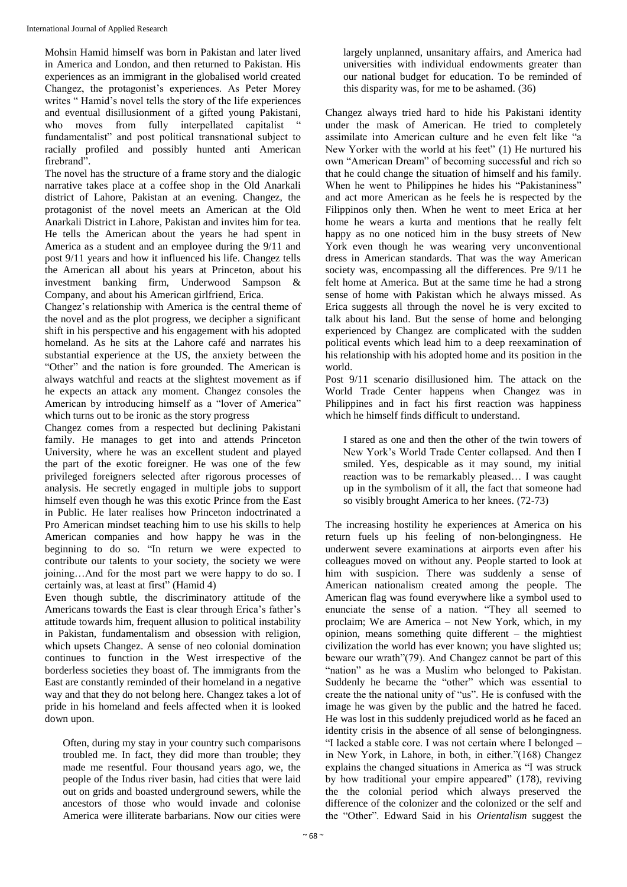Mohsin Hamid himself was born in Pakistan and later lived in America and London, and then returned to Pakistan. His experiences as an immigrant in the globalised world created Changez, the protagonist's experiences. As Peter Morey writes " Hamid's novel tells the story of the life experiences and eventual disillusionment of a gifted young Pakistani, who moves from fully interpellated capitalist fundamentalist" and post political transnational subject to racially profiled and possibly hunted anti American firebrand".

The novel has the structure of a frame story and the dialogic narrative takes place at a coffee shop in the Old Anarkali district of Lahore, Pakistan at an evening. Changez, the protagonist of the novel meets an American at the Old Anarkali District in Lahore, Pakistan and invites him for tea. He tells the American about the years he had spent in America as a student and an employee during the 9/11 and post 9/11 years and how it influenced his life. Changez tells the American all about his years at Princeton, about his investment banking firm, Underwood Sampson & Company, and about his American girlfriend, Erica.

Changez's relationship with America is the central theme of the novel and as the plot progress, we decipher a significant shift in his perspective and his engagement with his adopted homeland. As he sits at the Lahore café and narrates his substantial experience at the US, the anxiety between the "Other" and the nation is fore grounded. The American is always watchful and reacts at the slightest movement as if he expects an attack any moment. Changez consoles the American by introducing himself as a "lover of America" which turns out to be ironic as the story progress

Changez comes from a respected but declining Pakistani family. He manages to get into and attends Princeton University, where he was an excellent student and played the part of the exotic foreigner. He was one of the few privileged foreigners selected after rigorous processes of analysis. He secretly engaged in multiple jobs to support himself even though he was this exotic Prince from the East in Public. He later realises how Princeton indoctrinated a Pro American mindset teaching him to use his skills to help American companies and how happy he was in the beginning to do so. "In return we were expected to contribute our talents to your society, the society we were joining…And for the most part we were happy to do so. I certainly was, at least at first" (Hamid 4)

Even though subtle, the discriminatory attitude of the Americans towards the East is clear through Erica's father's attitude towards him, frequent allusion to political instability in Pakistan, fundamentalism and obsession with religion, which upsets Changez. A sense of neo colonial domination continues to function in the West irrespective of the borderless societies they boast of. The immigrants from the East are constantly reminded of their homeland in a negative way and that they do not belong here. Changez takes a lot of pride in his homeland and feels affected when it is looked down upon.

Often, during my stay in your country such comparisons troubled me. In fact, they did more than trouble; they made me resentful. Four thousand years ago, we, the people of the Indus river basin, had cities that were laid out on grids and boasted underground sewers, while the ancestors of those who would invade and colonise America were illiterate barbarians. Now our cities were

largely unplanned, unsanitary affairs, and America had universities with individual endowments greater than our national budget for education. To be reminded of this disparity was, for me to be ashamed. (36)

Changez always tried hard to hide his Pakistani identity under the mask of American. He tried to completely assimilate into American culture and he even felt like "a New Yorker with the world at his feet" (1) He nurtured his own "American Dream" of becoming successful and rich so that he could change the situation of himself and his family. When he went to Philippines he hides his "Pakistaniness" and act more American as he feels he is respected by the Filippinos only then. When he went to meet Erica at her home he wears a kurta and mentions that he really felt happy as no one noticed him in the busy streets of New York even though he was wearing very unconventional dress in American standards. That was the way American society was, encompassing all the differences. Pre 9/11 he felt home at America. But at the same time he had a strong sense of home with Pakistan which he always missed. As Erica suggests all through the novel he is very excited to talk about his land. But the sense of home and belonging experienced by Changez are complicated with the sudden political events which lead him to a deep reexamination of his relationship with his adopted home and its position in the world.

Post 9/11 scenario disillusioned him. The attack on the World Trade Center happens when Changez was in Philippines and in fact his first reaction was happiness which he himself finds difficult to understand.

I stared as one and then the other of the twin towers of New York's World Trade Center collapsed. And then I smiled. Yes, despicable as it may sound, my initial reaction was to be remarkably pleased… I was caught up in the symbolism of it all, the fact that someone had so visibly brought America to her knees. (72-73)

The increasing hostility he experiences at America on his return fuels up his feeling of non-belongingness. He underwent severe examinations at airports even after his colleagues moved on without any. People started to look at him with suspicion. There was suddenly a sense of American nationalism created among the people. The American flag was found everywhere like a symbol used to enunciate the sense of a nation. "They all seemed to proclaim; We are America – not New York, which, in my opinion, means something quite different – the mightiest civilization the world has ever known; you have slighted us; beware our wrath"(79). And Changez cannot be part of this "nation" as he was a Muslim who belonged to Pakistan. Suddenly he became the "other" which was essential to create the the national unity of "us". He is confused with the image he was given by the public and the hatred he faced. He was lost in this suddenly prejudiced world as he faced an identity crisis in the absence of all sense of belongingness. "I lacked a stable core. I was not certain where I belonged – in New York, in Lahore, in both, in either."(168) Changez explains the changed situations in America as "I was struck by how traditional your empire appeared" (178), reviving the the colonial period which always preserved the difference of the colonizer and the colonized or the self and the "Other". Edward Said in his *Orientalism* suggest the